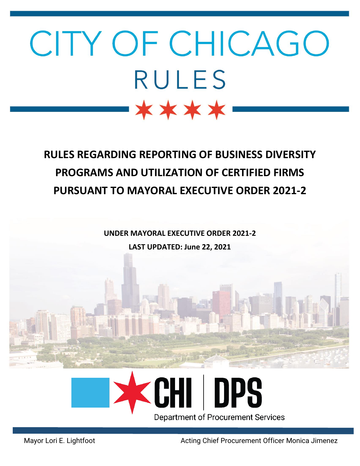# CITY OF CHICAGO **RULES** \*\*\*\*

## **RULES REGARDING REPORTING OF BUSINESS DIVERSITY PROGRAMS AND UTILIZATION OF CERTIFIED FIRMS PURSUANT TO MAYORAL EXECUTIVE ORDER 2021-2**

**UNDER MAYORAL EXECUTIVE ORDER 2021-2**

**LAST UPDATED: June 22, 2021**



Mayor Lori E. Lightfoot **Acting Chief Procurement Officer Monica Jimenez**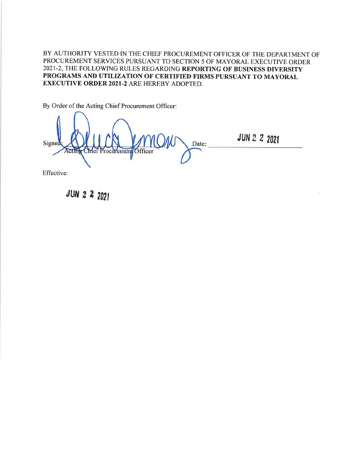BY AUTHORITY VESTED IN THE CHIEF PROCUREMENT OFFICER OF THE DEPARTMENT OF PROCUREMENT SERVICES PURSUANT TO SECTION 5 OF MAYORAL EXECUTIVE ORDER 2021-2, THE FOLLOWING RULES REGARDING REPORTING OF BUSINESS DIVERSITY PROGRAMS AND UTILIZATION OF CERTIFIED FIRMS PURSUANT TO MAYORAL **EXECUTIVE ORDER 2021-2 ARE HEREBY ADOPTED.** 

By Order of the Acting Chief Procurement Officer:

Signed Date: ctin ement

**JUN 2 2 2021** 

Effective:

JUN 2 2 2021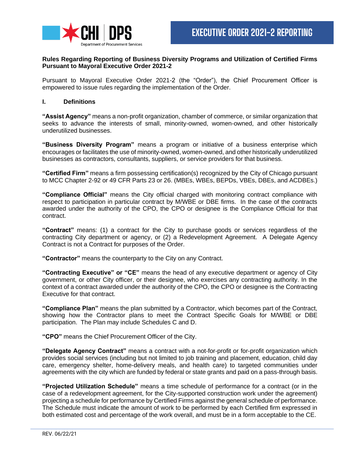

#### **Rules Regarding Reporting of Business Diversity Programs and Utilization of Certified Firms Pursuant to Mayoral Executive Order 2021-2**

Pursuant to Mayoral Executive Order 2021-2 (the "Order"), the Chief Procurement Officer is empowered to issue rules regarding the implementation of the Order.

#### **I. Definitions**

**"Assist Agency"** means a non-profit organization, chamber of commerce, or similar organization that seeks to advance the interests of small, minority-owned, women-owned, and other historically underutilized businesses.

**"Business Diversity Program"** means a program or initiative of a business enterprise which encourages or facilitates the use of minority-owned, women-owned, and other historically underutilized businesses as contractors, consultants, suppliers, or service providers for that business.

**"Certified Firm"** means a firm possessing certification(s) recognized by the City of Chicago pursuant to MCC Chapter 2-92 or 49 CFR Parts 23 or 26. (MBEs, WBEs, BEPDs, VBEs, DBEs, and ACDBEs.)

**"Compliance Official"** means the City official charged with monitoring contract compliance with respect to participation in particular contract by M/WBE or DBE firms. In the case of the contracts awarded under the authority of the CPO, the CPO or designee is the Compliance Official for that contract.

**"Contract"** means: (1) a contract for the City to purchase goods or services regardless of the contracting City department or agency, or (2) a Redevelopment Agreement. A Delegate Agency Contract is not a Contract for purposes of the Order.

**"Contractor"** means the counterparty to the City on any Contract.

**"Contracting Executive" or "CE"** means the head of any executive department or agency of City government, or other City officer, or their designee, who exercises any contracting authority. In the context of a contract awarded under the authority of the CPO, the CPO or designee is the Contracting Executive for that contract.

**"Compliance Plan"** means the plan submitted by a Contractor, which becomes part of the Contract, showing how the Contractor plans to meet the Contract Specific Goals for M/WBE or DBE participation. The Plan may include Schedules C and D.

**"CPO"** means the Chief Procurement Officer of the City.

**"Delegate Agency Contract"** means a contract with a not-for-profit or for-profit organization which provides social services (including but not limited to job training and placement, education, child day care, emergency shelter, home-delivery meals, and health care) to targeted communities under agreements with the city which are funded by federal or state grants and paid on a pass-through basis.

**"Projected Utilization Schedule"** means a time schedule of performance for a contract (or in the case of a redevelopment agreement, for the City-supported construction work under the agreement) projecting a schedule for performance by Certified Firms against the general schedule of performance. The Schedule must indicate the amount of work to be performed by each Certified firm expressed in both estimated cost and percentage of the work overall, and must be in a form acceptable to the CE.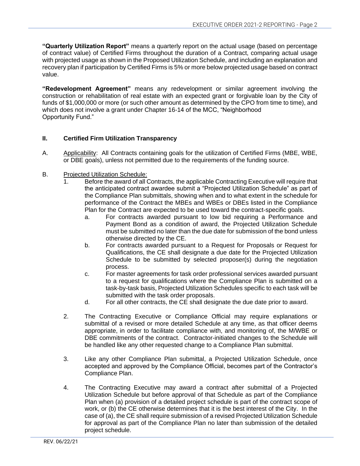**"Quarterly Utilization Report"** means a quarterly report on the actual usage (based on percentage of contract value) of Certified Firms throughout the duration of a Contract, comparing actual usage with projected usage as shown in the Proposed Utilization Schedule, and including an explanation and recovery plan if participation by Certified Firms is 5% or more below projected usage based on contract value.

**"Redevelopment Agreement"** means any redevelopment or similar agreement involving the construction or rehabilitation of real estate with an expected grant or forgivable loan by the City of funds of \$1,000,000 or more (or such other amount as determined by the CPO from time to time), and which does not involve a grant under Chapter 16-14 of the MCC, "Neighborhood Opportunity Fund."

#### **II. Certified Firm Utilization Transparency**

- A. Applicability: All Contracts containing goals for the utilization of Certified Firms (MBE, WBE, or DBE goals), unless not permitted due to the requirements of the funding source.
- B. Projected Utilization Schedule:
	- 1. Before the award of all Contracts, the applicable Contracting Executive will require that the anticipated contract awardee submit a "Projected Utilization Schedule" as part of the Compliance Plan submittals, showing when and to what extent in the schedule for performance of the Contract the MBEs and WBEs or DBEs listed in the Compliance Plan for the Contract are expected to be used toward the contract-specific goals.
		- a. For contracts awarded pursuant to low bid requiring a Performance and Payment Bond as a condition of award, the Projected Utilization Schedule must be submitted no later than the due date for submission of the bond unless otherwise directed by the CE.
		- b. For contracts awarded pursuant to a Request for Proposals or Request for Qualifications, the CE shall designate a due date for the Projected Utilization Schedule to be submitted by selected proposer(s) during the negotiation process.
		- c. For master agreements for task order professional services awarded pursuant to a request for qualifications where the Compliance Plan is submitted on a task-by-task basis, Projected Utilization Schedules specific to each task will be submitted with the task order proposals.
		- d. For all other contracts, the CE shall designate the due date prior to award.
	- 2. The Contracting Executive or Compliance Official may require explanations or submittal of a revised or more detailed Schedule at any time, as that officer deems appropriate, in order to facilitate compliance with, and monitoring of, the M/WBE or DBE commitments of the contract. Contractor-initiated changes to the Schedule will be handled like any other requested change to a Compliance Plan submittal.
	- 3. Like any other Compliance Plan submittal, a Projected Utilization Schedule, once accepted and approved by the Compliance Official, becomes part of the Contractor's Compliance Plan.
	- 4. The Contracting Executive may award a contract after submittal of a Projected Utilization Schedule but before approval of that Schedule as part of the Compliance Plan when (a) provision of a detailed project schedule is part of the contract scope of work, or (b) the CE otherwise determines that it is the best interest of the City. In the case of (a), the CE shall require submission of a revised Projected Utilization Schedule for approval as part of the Compliance Plan no later than submission of the detailed project schedule.